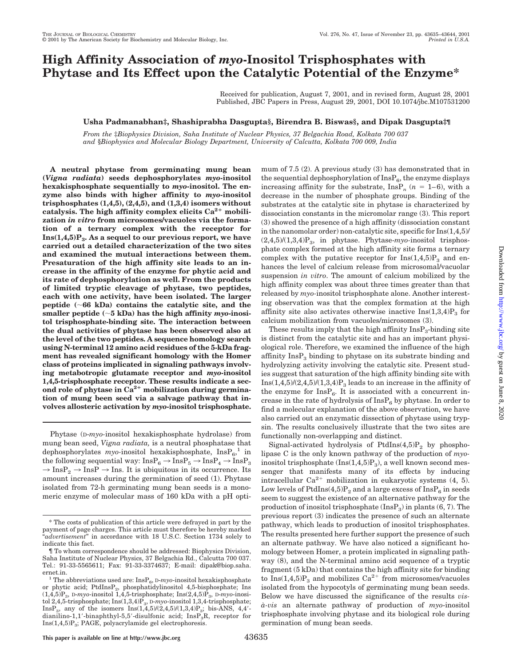# **High Affinity Association of** *myo***-Inositol Trisphosphates with Phytase and Its Effect upon the Catalytic Potential of the Enzyme\***

Received for publication, August 7, 2001, and in revised form, August 28, 2001 Published, JBC Papers in Press, August 29, 2001, DOI 10.1074/jbc.M107531200

## **Usha Padmanabhan‡, Shashiprabha Dasgupta§, Birendra B. Biswas§, and Dipak Dasgupta‡¶**

*From the* ‡*Biophysics Division, Saha Institute of Nuclear Physics, 37 Belgachia Road, Kolkata 700 037 and* §*Biophysics and Molecular Biology Department, University of Calcutta, Kolkata 700 009, India*

**A neutral phytase from germinating mung bean (***Vigna radiata***) seeds dephosphorylates** *myo***-inositol hexakisphosphate sequentially to** *myo***-inositol. The enzyme also binds with higher affinity to** *myo***-inositol trisphosphates (1,4,5), (2,4,5), and (1,3,4) isomers without** catalysis. The high affinity complex elicits Ca<sup>2+</sup> mobili**zation** *in vitro* **from microsomes/vacuoles via the formation of a ternary complex with the receptor for Ins(1,4,5)P3. As a sequel to our previous report, we have carried out a detailed characterization of the two sites and examined the mutual interactions between them. Presaturation of the high affinity site leads to an increase in the affinity of the enzyme for phytic acid and its rate of dephosphorylation as well. From the products of limited tryptic cleavage of phytase, two peptides, each with one activity, have been isolated. The larger peptide (66 kDa) contains the catalytic site, and the** smaller peptide  $(-5 \text{ kDa})$  has the high affinity *myo*-inosi**tol trisphosphate-binding site. The interaction between the dual activities of phytase has been observed also at the level of the two peptides. A sequence homology search using N-terminal 12 amino acid residues of the 5-kDa fragment has revealed significant homology with the Homer class of proteins implicated in signaling pathways involving metabotropic glutamate receptor and** *myo***-inositol 1,4,5-trisphosphate receptor. These results indicate a sec**ond role of phytase in Ca<sup>2+</sup> mobilization during germina**tion of mung been seed via a salvage pathway that involves allosteric activation by** *myo***-inositol trisphosphate.**

Phytase (D-*myo-*inositol hexakisphosphate hydrolase) from mung bean seed, *Vigna radiata,* is a neutral phosphatase that dephosphorylates *myo-*inositol hexakisphosphate,  $InsP_6$ ,<sup>1</sup> in the following sequential way:  ${\rm InsP_6} \rightarrow {\rm InsP_5} \rightarrow {\rm InsP_4} \rightarrow {\rm InsP_3}$  $\rightarrow$  InsP<sub>2</sub>  $\rightarrow$  InsP  $\rightarrow$  Ins. It is ubiquitous in its occurrence. Its amount increases during the germination of seed (1). Phytase isolated from 72-h germinating mung bean seeds is a monomeric enzyme of molecular mass of 160 kDa with a pH optimum of 7.5 (2). A previous study (3) has demonstrated that in the sequential dephosphorylation of  $InsP_6$ , the enzyme displays increasing affinity for the substrate,  $\text{InsP}_n$  ( $n = 1-6$ ), with a decrease in the number of phosphate groups. Binding of the substrates at the catalytic site in phytase is characterized by dissociation constants in the micromolar range (3). This report (3) showed the presence of a high affinity (dissociation constant in the nanomolar order) non-catalytic site, specific for Ins(1,4,5)/ (2,4,5)/(1,3,4)P3, in phytase. Phytase-*myo-*inositol trisphosphate complex formed at the high affinity site forms a ternary complex with the putative receptor for  $Ins(1,4,5)P_3$  and enhances the level of calcium release from microsomal/vacuolar suspension *in vitro*. The amount of calcium mobilized by the high affinity complex was about three times greater than that released by *myo-*inositol trisphosphate alone. Another interesting observation was that the complex formation at the high affinity site also activates otherwise inactive  $Ins(1,3,4)P_3$  for calcium mobilization from vacuoles/microsomes (3).

These results imply that the high affinity  $\text{InsP}_3$ -binding site is distinct from the catalytic site and has an important physiological role. Therefore, we examined the influence of the high affinity  $InsP<sub>3</sub>$  binding to phytase on its substrate binding and hydrolyzing activity involving the catalytic site. Present studies suggest that saturation of the high affinity binding site with Ins $(1,4,5)/(2,4,5)/(1,3,4)P_3$  leads to an increase in the affinity of the enzyme for  $InsP_6$ . It is associated with a concurrent increase in the rate of hydrolysis of  $InsP_6$  by phytase. In order to find a molecular explanation of the above observation, we have also carried out an enzymatic dissection of phytase using trypsin. The results conclusively illustrate that the two sites are functionally non-overlapping and distinct.

Signal-activated hydrolysis of PtdIns $(4,5)P_2$  by phospholipase C is the only known pathway of the production of *myo*inositol trisphosphate  $(Ins(1,4,5)P_3)$ , a well known second messenger that manifests many of its effects by inducing intracellular  $Ca^{2+}$  mobilization in eukaryotic systems (4, 5). Low levels of PtdIns(4,5) $P_2$  and a large excess of Ins $P_6$  in seeds seem to suggest the existence of an alternative pathway for the production of inositol trisphosphate  $(InsP_3)$  in plants  $(6, 7)$ . The previous report (3) indicates the presence of such an alternate pathway, which leads to production of inositol trisphosphates. The results presented here further support the presence of such an alternate pathway. We have also noticed a significant homology between Homer, a protein implicated in signaling pathway (8), and the N-terminal amino acid sequence of a tryptic fragment (5 kDa) that contains the high affinity site for binding to  $Ins(1,4,5)P_3$  and mobilizes  $Ca^{2+}$  from microsomes/vacuoles isolated from the hypocotyls of germinating mung bean seeds. Below we have discussed the significance of the results *visa`-vis* an alternate pathway of production of *myo*-inositol trisphosphate involving phytase and its biological role during germination of mung bean seeds.

<sup>\*</sup> The costs of publication of this article were defrayed in part by the payment of page charges. This article must therefore be hereby marked "*advertisement*" in accordance with 18 U.S.C. Section 1734 solely to indicate this fact.

<sup>¶</sup> To whom correspondence should be addressed: Biophysics Division, Saha Institute of Nuclear Physics, 37 Belgachia Rd., Calcutta 700 037. Tel.: 91-33-5565611; Fax: 91-33-3374637; E-mail: dipak@biop.saha.

ernet.in.<br><sup>1</sup> The abbreviations used are:  $InsP<sub>a</sub>, D-my<sub>o</sub>-inositol hexakisphosphate$ or phytic acid; PtdInsP<sub>2</sub>, phosphatidylinositol 4,5-bisphosphate; Ins  $(1,4,5)P_3$ , D-*myo*-inositol 1,4,5-trisphosphate; Ins $(2,4,5)P_3$ , D-*myo*-inositol 2,4,5-trisphosphate; Ins(1,3,4)P<sub>3</sub>, D-myo-inositol 1,3,4-trisphosphate; InsP<sub>3</sub>, any of the isomers  $Ins(1,4,5)/(2,4,5)/(1,3,4)P_3$ ; bis-ANS, 4,4'dianilino-1,1'-binaphthyl-5,5'-disulfonic acid;  $InsP_3R$ , receptor for  $Ins(1,4,5)P_3$ ; PAGE, polyacrylamide gel electrophoresis.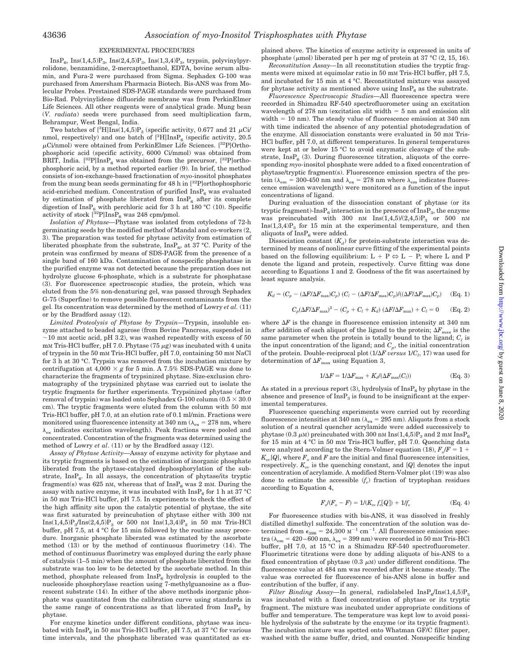#### EXPERIMENTAL PROCEDURES

 $InsP_6$ ,  $Ins(1,4,5)P_3$ ,  $Ins(2,4,5)P_3$ ,  $Ins(1,3,4)P_3$ , trypsin, polyvinylpyrrolidone, benzamidine, 2-mercaptoethanol, EDTA, bovine serum albumin, and Fura-2 were purchased from Sigma. Sephadex G-100 was purchased from Amersham Pharmacia Biotech. Bis-ANS was from Molecular Probes. Prestained SDS-PAGE standards were purchased from Bio-Rad. Polyvinylidene difluoride membrane was from PerkinElmer Life Sciences. All other reagents were of analytical grade. Mung bean (*V. radiata*) seeds were purchased from seed multiplication farm, Behrampur, West Bengal, India.

Two batches of  $[^{3}H]\text{Ins}(1,4,5)P_{3}$  (specific activity, 0.677 and 21  $\mu$ Ci/ nmol, respectively) and one batch of  $[{}^3\text{H}] \text{InsP}_6$  (specific activity, 20.5  $\mu$ Ci/nmol) were obtained from PerkinElmer Life Sciences. [<sup>32</sup>P]Orthophosphoric acid (specific activity, 6000 Ci/mmol) was obtained from BRIT, India.  $[^{32}P]$ Ins $P_6$  was obtained from the precursor,  $[^{32}P]$ orthophosphoric acid, by a method reported earlier (9). In brief, the method consists of ion-exchange-based fractionation of *myo*-inositol phosphates from the mung bean seeds germinating for 48 h in [32P]orthophosphoric acid-enriched medium. Concentration of purified  $InsP_6$  was evaluated by estimation of phosphate liberated from  $InsP<sub>6</sub>$  after its complete digestion of InsP<sub>6</sub> with perchloric acid for 3 h at 180 °C (10). Specific activity of stock  $[^{32}P]\text{InsP}_6$  was 248 cpm/pmol.

*Isolation of Phytase—*Phytase was isolated from cotyledons of 72-h germinating seeds by the modified method of Mandal and co-workers (2, 3). The preparation was tested for phytase activity from estimation of liberated phosphate from the substrate,  $InsP_6$ , at 37 °C. Purity of the protein was confirmed by means of SDS-PAGE from the presence of a single band of 160 kDa. Contamination of nonspecific phosphatase in the purified enzyme was not detected because the preparation does not hydrolyze glucose 6-phosphate, which is a substrate for phosphatase (3). For fluorescence spectroscopic studies, the protein, which was eluted from the 5% non-denaturing gel, was passed through Sephadex G-75 (Superfine) to remove possible fluorescent contaminants from the gel. Its concentration was determined by the method of Lowry *et al.* (11) or by the Bradford assay (12).

*Limited Proteolysis of Phytase by Trypsin—*Trypsin, insoluble enzyme attached to beaded agarose (from Bovine Pancreas, suspended in  $\sim$ 10 mM acetic acid, pH 3.2), was washed repeatedly with excess of 50  $mm$  Tris-HCl buffer, pH 7.0. Phytase (75  $\mu$ g) was incubated with 4 units of trypsin in the 50 mM Tris-HCl buffer, pH 7.0, containing 50 mM NaCl for 3 h at 30 °C. Trypsin was removed from the incubation mixture by centrifugation at  $4,000 \times g$  for 5 min. A 7.5% SDS-PAGE was done to characterize the fragments of trypsinized phytase. Size-exclusion chromatography of the trypsinized phytase was carried out to isolate the tryptic fragments for further experiments. Trypsinized phytase (after removal of trypsin) was loaded onto Sephadex G-100 column ( $0.5 \times 30.0$ cm). The tryptic fragments were eluted from the column with 50 mM Tris-HCl buffer, pH 7.0, at an elution rate of 0.1 ml/min. Fractions were monitored using fluorescence intensity at 340 nm ( $\lambda_{\text{ex}} = 278$  nm, where  $\lambda_{\mathrm{ex}}$  indicates excitation wavelength). Peak fractions were pooled and concentrated. Concentration of the fragments was determined using the method of Lowry *et al*. (11) or by the Bradford assay (12).

*Assay of Phytase Activity—*Assay of enzyme activity for phytase and its tryptic fragments is based on the estimation of inorganic phosphate liberated from the phytase-catalyzed dephosphorylation of the substrate,  $InsP<sub>6</sub>$ . In all assays, the concentration of phytase/its tryptic fragment(s) was 625 nM, whereas that of  $InsP<sub>6</sub>$  was 2 mM. During the assay with native enzyme, it was incubated with  $InsP_6$  for 1 h at 37 °C in 50 mM Tris-HCl buffer, pH 7.5. In experiments to check the effect of the high affinity site upon the catalytic potential of phytase, the site was first saturated by preincubation of phytase either with 300 nM  $Ins(1,4,5)P_3/Ins(2,4,5)P_3$  or 500 nm  $Ins(1,3,4)P_3$  in 50 mm Tris-HCl buffer, pH 7.5, at 4 °C for 15 min followed by the routine assay procedure. Inorganic phosphate liberated was estimated by the ascorbate method (13) or by the method of continuous fluorimetry (14). The method of continuous fluorimetry was employed during the early phase of catalysis (1–5 min) when the amount of phosphate liberated from the substrate was too low to be detected by the ascorbate method. In this method, phosphate released from  $InsP<sub>6</sub>$  hydrolysis is coupled to the nucleoside phosphorylase reaction using 7-methylguanosine as a fluorescent substrate (14). In either of the above methods inorganic phosphate was quantitated from the calibration curve using standards in the same range of concentrations as that liberated from  $InsP_6$  by phytase.

For enzyme kinetics under different conditions, phytase was incubated with  $InsP_6$  in 50 mm Tris-HCl buffer, pH 7.5, at 37 °C for various time intervals, and the phosphate liberated was quantitated as explained above. The kinetics of enzyme activity is expressed in units of phosphate ( $\mu$ mol) liberated per h per mg of protein at 37 °C (2, 15, 16).

*Reconstitution Assay—*In all reconstitution studies the tryptic fragments were mixed at equimolar ratio in 50 mM Tris-HCl buffer, pH 7.5, and incubated for 15 min at 4 °C. Reconstituted mixture was assayed for phytase activity as mentioned above using  $InsP<sub>6</sub>$  as the substrate.

*Fluorescence Spectroscopic Studies—*All fluorescence spectra were recorded in Shimadzu RF-540 spectrofluorometer using an excitation wavelength of  $278$  nm (excitation slit width  $= 5$  nm and emission slit  $width = 10$  nm). The steady value of fluorescence emission at 340 nm with time indicated the absence of any potential photodegradation of the enzyme. All dissociation constants were evaluated in 50 mM Tris-HCl buffer, pH 7.0, at different temperatures. In general temperatures were kept at or below 15 °C to avoid enzymatic cleavage of the substrate, Ins $P_6$  (3). During fluorescence titration, aliquots of the corresponding *myo-*inositol phosphate were added to a fixed concentration of phytase/tryptic fragment(s). Fluorescence emission spectra of the protein ( $\lambda_{\rm em}$  = 300-450 nm and  $\lambda_{\rm ex}$  = 278 nm where  $\lambda_{\rm em}$  indicates fluorescence emission wavelength) were monitored as a function of the input concentrations of ligand.

During evaluation of the dissociation constant of phytase (or its tryptic fragment)- $InsP_6$  interaction in the presence of  $InsP_3$ , the enzyme was preincubated with 300 nM  $Ins(1,4,5)/(2,4,5)P_3$  or 500 nM  $Ins(1,3,4)P_3$  for 15 min at the experimental temperature, and then aliquots of  $InsP<sub>6</sub>$  were added.

Dissociation constant  $(K_d)$  for protein-substrate interaction was determined by means of nonlinear curve fitting of the experimental points based on the following equilibrium:  $L + P \Leftrightarrow L - P$ ; where L and P denote the ligand and protein, respectively. Curve fitting was done according to Equations 1 and 2. Goodness of the fit was ascertained by least square analysis.

$$
K_d = (C_p - (\Delta F/\Delta F_{\text{max}})C_p) (C_l - (\Delta F/\Delta F_{\text{max}})C_p)/((\Delta F/\Delta F_{\text{max}})C_p)
$$
 (Eq. 1)  

$$
C_p(\Delta F/\Delta F_{\text{max}})^2 - (C_p + C_l + K_d) (\Delta F/\Delta F_{\text{max}}) + C_l = 0
$$
 (Eq. 2)

where  $\Delta F$  is the change in fluorescence emission intensity at 340 nm after addition of each aliquot of the ligand to the protein;  $\Delta F_{\text{max}}$  is the same parameter when the protein is totally bound to the ligand;  $C_i$  is the input concentration of the ligand; and  $C_p$ , the initial concentration of the protein. Double-reciprocal plot ( $1/\Delta F\, versus\, 1/C_l, \,17)$  was used for determination of  $\Delta F_{\text{max}}$  using Equation 3,

$$
1/\Delta F = 1/\Delta F_{\text{max}} + K_d/(\Delta F_{\text{max}}(C_l))
$$
 (Eq. 3)

As stated in a previous report (3), hydrolysis of  $InsP<sub>6</sub>$  by phytase in the absence and presence of  $InsP<sub>3</sub>$  is found to be insignificant at the experimental temperatures.

Fluorescence quenching experiments were carried out by recording fluorescence intensities at 340 nm ( $\lambda_{\rm ex}$  = 295 nm). Aliquots from a stock solution of a neutral quencher acrylamide were added successively to phytase (0.3  $\mu$ M) preincubated with 300 nM Ins(1,4,5)P<sub>3</sub> and 2 mM InsP<sub>6</sub> for 15 min at 4 °C in 50 mM Tris-HCl buffer, pH 7.0. Quenching data were analyzed according to the Stern-Volmer equation (18),  $F_o/F = 1 +$  $K_{\infty}[Q]$ , where  $F_{\infty}$  and  $F$  are the initial and final fluorescence intensities, respectively.  $K_{sv}$  is the quenching constant, and  $[Q]$  denotes the input concentration of acrylamide. A modified Stern-Volmer plot (19) was also done to estimate the accessible  $(f_e)$  fraction of tryptophan residues according to Equation 4,

$$
F_o/(F_o - F) = 1/(K_{sv} f_e[Q]) + 1/f_e
$$
 (Eq. 4)

For fluorescence studies with bis-ANS, it was dissolved in freshly distilled dimethyl sulfoxide. The concentration of the solution was determined from  $\epsilon_{396} = 24{,}300 \text{ M}^{-1} \text{ cm}^{-1}$ . All fluorescence emission spectra ( $\lambda_{\rm em}$  = 420–600 nm,  $\lambda_{\rm ex}$  = 399 nm) were recorded in 50 mm Tris-HCl buffer, pH 7.0, at 15 °C in a Shimadzu RF-540 spectrofluorometer. Fluorimetric titrations were done by adding aliquots of bis-ANS to a fixed concentration of phytase  $(0.3 \mu M)$  under different conditions. The fluorescence value at 484 nm was recorded after it became steady. The value was corrected for fluorescence of bis-ANS alone in buffer and contribution of the buffer, if any.

*Filter Binding Assay*—In general, radiolabeled  $InsP<sub>6</sub>/Ins(1,4,5)P<sub>3</sub>$ was incubated with a fixed concentration of phytase or its tryptic fragment. The mixture was incubated under appropriate conditions of buffer and temperature. The temperature was kept low to avoid possible hydrolysis of the substrate by the enzyme (or its tryptic fragment). The incubation mixture was spotted onto Whatman GF/C filter paper, washed with the same buffer, dried, and counted. Nonspecific binding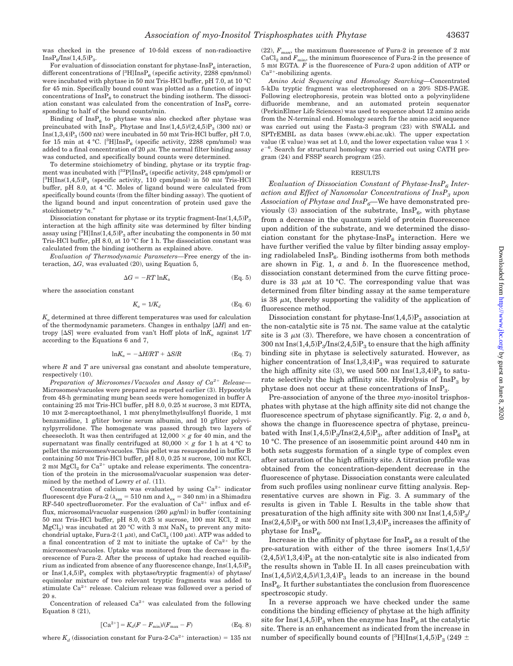was checked in the presence of 10-fold excess of non-radioactive  $InsP<sub>6</sub>/Ins(1,4,5)P<sub>3</sub>.$ 

For evaluation of dissociation constant for phytase-Ins $P_6$  interaction, different concentrations of  $[^3\mathrm{H}]\mathrm{Ins}\mathrm{P}_6$  (specific activity, 2288 cpm/nmol) were incubated with phytase in 50 mM Tris-HCl buffer, pH 7.0, at 10 °C for 45 min. Specifically bound count was plotted as a function of input concentrations of  $\text{InsP}_6$  to construct the binding isotherm. The dissociation constant was calculated from the concentration of  $InsP_6$  corresponding to half of the bound counts/min.

Binding of  $InsP_6$  to phytase was also checked after phytase was preincubated with  $InsP_3$ . Phytase and  $Ins(1,4,5)/(2,4,5)P_3$  (300 nM) or  $Ins(1,3,4)P_3$  (500 nM) were incubated in 50 mM Tris-HCl buffer, pH 7.0, for 15 min at 4 °C. [<sup>3</sup>H]Ins $P_6$  (specific activity, 2288 cpm/nmol) was added to a final concentration of 20  $\mu$ M. The normal filter binding assay was conducted, and specifically bound counts were determined.

To determine stoichiometry of binding, phytase or its tryptic fragment was incubated with  $[^{32}P]\text{InsP}_6$  (specific activity, 248 cpm/pmol) or  $[^{3}H]$ Ins(1,4,5)P<sub>3</sub> (specific activity, 110 cpm/pmol) in 50 mm Tris-HCl buffer, pH 8.0, at 4 °C. Moles of ligand bound were calculated from specifically bound counts (from the filter binding assay). The quotient of the ligand bound and input concentration of protein used gave the stoichiometry "*n*."

Dissociation constant for phytase or its tryptic fragment-Ins $(1,4,5)P_3$ interaction at the high affinity site was determined by filter binding assay using  $[{}^3\mathrm{H}] \text{Ins}(1,4,5) \text{P}_3$  after incubating the components in 50 mM Tris-HCl buffer, pH 8.0, at 10 °C for 1 h. The dissociation constant was calculated from the binding isotherm as explained above.

*Evaluation of Thermodynamic Parameters—*Free energy of the interaction,  $\Delta G$ , was evaluated (20), using Equation 5,

$$
\Delta G = -RT \ln K_{\rm a} \tag{Eq. 5}
$$

where the association constant

$$
K_a = 1/K_d \tag{Eq. 6}
$$

*Ka* determined at three different temperatures was used for calculation of the thermodynamic parameters. Changes in enthalpy  $[ $\Delta H$ ]$  and entropy  $[\Delta S]$  were evaluated from van't Hoff plots of  $\ln K_a$  against  $1/T$ according to the Equations 6 and 7,

$$
ln K_a = -\Delta H/RT + \Delta S/R
$$
 (Eq. 7)

where *R* and *T* are universal gas constant and absolute temperature, respectively (10).

*Preparation of Microsomes/Vacuoles and Assay of Ca<sup>2+</sup> Release*— Microsomes/vacuoles were prepared as reported earlier (3). Hypocotyls from 48-h germinating mung bean seeds were homogenized in buffer A containing 25 mM Tris-HCl buffer, pH 8.0, 0.25 M sucrose, 3 mM EDTA, 10 mM 2-mercaptoethanol, 1 mM phenylmethylsulfonyl fluoride, 1 mM benzamidine, 1 g/liter bovine serum albumin, and 10 g/liter polyvinylpyrrolidone. The homogenate was passed through two layers of cheesecloth. It was then centrifuged at  $12,000 \times g$  for 40 min, and the supernatant was finally centrifuged at 80,000  $\times g$  for 1 h at 4 °C to pellet the microsomes/vacuoles. This pellet was resuspended in buffer B containing 50 mM Tris-HCl buffer, pH 8.0, 0.25 M sucrose, 100 mM KCl, 2 mM MgCl<sub>2</sub> for  $Ca^{2+}$  uptake and release experiments. The concentration of the protein in the microsomal/vacuolar suspension was determined by the method of Lowry *et al*. (11).

Concentration of calcium was evaluated by using  $\mathrm{Ca^{2+}}$  indicator fluorescent dye Fura-2 ( $\lambda_{\rm em}$  = 510 nm and  $\lambda_{\rm ex}$  = 340 nm) in a Shimadzu RF-540 spectrofluorometer. For the evaluation of  $Ca^{2+}$  influx and efflux, microsomal/vacuolar suspension (260  $\mu$ g/ml) in buffer (containing 50 mM Tris-HCl buffer, pH 8.0, 0.25 M sucrose, 100 mM KCl, 2 mM  $MgCl<sub>2</sub>$ ) was incubated at 20 °C with 3 mM NaN<sub>3</sub> to prevent any mitochondrial uptake, Fura-2 (1  $\mu$ M), and CaCl<sub>2</sub> (100  $\mu$ M). ATP was added to a final concentration of 2 mm to initiate the uptake of  $Ca^{2+}$  by the microsomes/vacuoles. Uptake was monitored from the decrease in fluorescence of Fura-2. After the process of uptake had reached equilibrium as indicated from absence of any fluorescence change,  $Ins(1,4,5)P_3$ or  $Ins(1,4,5)P_3$  complex with phytase/tryptic fragment(s) of phytase/ equimolar mixture of two relevant tryptic fragments was added to stimulate  $Ca^{2+}$  release. Calcium release was followed over a period of 20 s.

Concentration of released  $Ca^{2+}$  was calculated from the following Equation 8 (21),

$$
[Ca^{2+}] = K_d(F - F_{\min})/(F_{\max} - F)
$$
 (Eq. 8)

where  $K_d$  (dissociation constant for Fura-2-Ca<sup>2+</sup> interaction) = 135 nm

(22),  $F_{\text{max}}$ , the maximum fluorescence of Fura-2 in presence of 2 mm  $\mathrm{CaCl}_2$  and  $F_{\mathrm{min}}$ , the minimum fluorescence of Fura-2 in the presence of 5 mM EGTA. *F* is the fluorescence of Fura-2 upon addition of ATP or  $Ca^{2+}$ -mobilizing agents.

*Amino Acid Sequencing and Homology Searching—*Concentrated 5-kDa tryptic fragment was electrophoresed on a 20% SDS-PAGE. Following electrophoresis, protein was blotted onto a polyvinylidene difluoride membrane, and an automated protein sequenator (PerkinElmer Life Sciences) was used to sequence about 12 amino acids from the N-terminal end. Homology search for the amino acid sequence was carried out using the Fasta-3 program (23) with SWALL and SPTrEMBL as data bases (www.ebi.ac.uk). The upper expectation value (E value) was set at 1.0, and the lower expectation value was  $1 \times$  $e^{-6}$ . Search for structural homology was carried out using CATH program (24) and FSSP search program (25).

#### RESULTS

*Evaluation of Dissociation Constant of Phytase-InsP6 Interaction and Effect of Nanomolar Concentrations of InsP3 upon* Association of Phytase and InsP<sub>6</sub>—We have demonstrated previously (3) association of the substrate,  $InsP_6$ , with phytase from a decrease in the quantum yield of protein fluorescence upon addition of the substrate, and we determined the dissociation constant for the phytase- $InsP<sub>6</sub>$  interaction. Here we have further verified the value by filter binding assay employing radiolabeled  $InsP_6$ . Binding isotherms from both methods are shown in Fig. 1, *a* and *b*. In the fluorescence method, dissociation constant determined from the curve fitting procedure is 33  $\mu$ M at 10 °C. The corresponding value that was determined from filter binding assay at the same temperature is 38  $\mu$ M, thereby supporting the validity of the application of fluorescence method.

Dissociation constant for phytase- $Ins(1,4,5)P_3$  association at the non-catalytic site is 75 nM. The same value at the catalytic site is  $3 \mu M$  (3). Therefore, we have chosen a concentration of 300 nM  $\text{Ins}(1,4,5)P_3/\text{Ins}(2,4,5)P_3$  to ensure that the high affinity binding site in phytase is selectively saturated. However, as higher concentration of  $Ins(1,3,4)P_3$  was required to saturate the high affinity site (3), we used 500 nm  $Ins(1,3,4)P_3$  to saturate selectively the high affinity site. Hydrolysis of InsP<sub>3</sub> by phytase does not occur at these concentrations of InsP3.

Pre-association of anyone of the three *myo-*inositol trisphosphates with phytase at the high affinity site did not change the fluorescence spectrum of phytase significantly. Fig. 2, *a* and *b*, shows the change in fluorescence spectra of phytase, preincubated with  $Ins(1,4,5)P_3/Ins(2,4,5)P_3$ , after addition of  $InsP_6$  at 10 °C. The presence of an isosemmitic point around 440 nm in both sets suggests formation of a single type of complex even after saturation of the high affinity site. A titration profile was obtained from the concentration-dependent decrease in the fluorescence of phytase. Dissociation constants were calculated from such profiles using nonlinear curve fitting analysis. Representative curves are shown in Fig. 3. A summary of the results is given in Table I. Results in the table show that presaturation of the high affinity site with 300 nm  $\text{Ins}(1,4,5)P_3/$  $Ins(2,4,5)P_3$  or with 500 nm  $Ins(1,3,4)P_3$  increases the affinity of phytase for  $InsP<sub>6</sub>$ .

Increase in the affinity of phytase for  $InsP<sub>6</sub>$  as a result of the pre-saturation with either of the three isomers Ins(1,4,5)/  $(2,4,5)/(1,3,4)P_3$  at the non-catalytic site is also indicated from the results shown in Table II. In all cases preincubation with  $Ins(1,4,5)/(2,4,5)/(1,3,4)P_3$  leads to an increase in the bound  $InsP<sub>6</sub>$ . It further substantiates the conclusion from fluorescence spectroscopic study.

In a reverse approach we have checked under the same conditions the binding efficiency of phytase at the high affinity site for  $Ins(1,4,5)P_3$  when the enzyme has  $InsP_6$  at the catalytic site. There is an enhancement as indicated from the increase in number of specifically bound counts of  $[^3\mathrm{H}] \text{Ins}(1,4,5) \text{P}_3$  (249  $\pm$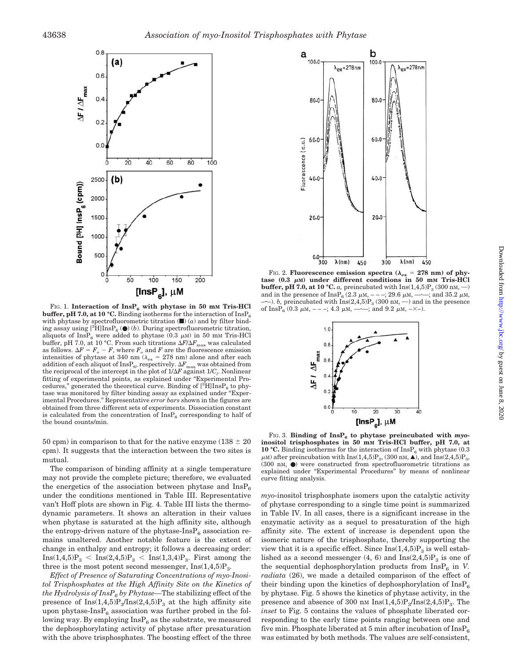

FIG. 1. Interaction of InsP<sub>6</sub> with phytase in 50 mm Tris-HCl **buffer, pH 7.0, at 10 °C.** Binding isotherms for the interaction of  $\text{InsP}_6$ with phytase by spectrofluorometric titration  $(\blacksquare)$   $(a)$  and by filter binding assay using  $[^{3}\text{H}]$ Ins $P_6$  ( $\bullet$ ) (*b*). During spectrofluorometric titration, aliquots of  $InsP_6$  were added to phytase (0.3  $\mu$ m) in 50 mm Tris-HCl buffer, pH 7.0, at 10 °C. From such titrations  $\Delta F/\Delta F_{\rm max}$  was calculated as follows.  $\Delta F = F_o - F$ , where  $F_o$  and  $F$  are the fluorescence emission intensities of phytase at 340 nm ( $\lambda_{\text{ex}} = 278$  nm) alone and after each addition of each aliquot of  $InsP_6$ , respectively.  $\Delta F_{\text{max}}$  was obtained from the reciprocal of the intercept in the plot of  $1/\Delta F$  against  $1/C_l$ . Nonlinear fitting of experimental points, as explained under "Experimental Procedures," generated the theoretical curve. Binding of  $[^{3}H]$ Ins $P_6$  to phytase was monitored by filter binding assay as explained under "Experimental Procedures." Representative *error bars* shown in the figures are obtained from three different sets of experiments. Dissociation constant is calculated from the concentration of  $InsP<sub>6</sub>$  corresponding to half of the bound counts/min.

50 cpm) in comparison to that for the native enzyme ( $138 \pm 20$ ) cpm). It suggests that the interaction between the two sites is mutual.

The comparison of binding affinity at a single temperature may not provide the complete picture; therefore, we evaluated the energetics of the association between phytase and  $InsP<sub>6</sub>$ under the conditions mentioned in Table III. Representative van't Hoff plots are shown in Fig. 4. Table III lists the thermodynamic parameters. It shows an alteration in their values when phytase is saturated at the high affinity site, although the entropy-driven nature of the phytase- $\text{InsP}_6$  association remains unaltered. Another notable feature is the extent of change in enthalpy and entropy; it follows a decreasing order:  $Ins(1,4,5)P_3 < Ins(2,4,5)P_3 < Ins(1,3,4)P_3$ . First among the three is the most potent second messenger,  $Ins(1,4,5)P_3$ .

*Effect of Presence of Saturating Concentrations of myo-Inositol Trisphosphates at the High Affinity Site on the Kinetics of the Hydrolysis of InsP6 by Phytase—*The stabilizing effect of the presence of  $Ins(1,4,5)P_3/Ins(2,4,5)P_3$  at the high affinity site upon phytase- $InsP_6$  association was further probed in the following way. By employing  $InsP_6$  as the substrate, we measured the dephosphorylating activity of phytase after presaturation with the above trisphosphates. The boosting effect of the three



FIG. 2. **Fluorescence emission spectra (** $\lambda_{\text{ex}} = 278$  **nm) of phy** $t$ ase  $(0.3 \mu)$  under different conditions in 50 mm Tris-HCl **buffer, pH 7.0, at 10 °C.** *a*, preincubated with  $\text{Ins}(1,4,5)P_3$  (300 nm, --) and in the presence of  $\text{InsP}_6$  (2.3  $\mu$ m, ---; 29.6  $\mu$ m, ---; and 35.2  $\mu$ m, and in the presence of InsP<sub>6</sub> (2.3  $\mu$ M,  $---$ ; 29.6  $\mu$ M,  $-$ –). *b*, preincubated with  $\text{Ins}(2,4,5)P_3(300 \text{ nM}, -)$  and in the presence  $\text{InsP}_e(0.3 \mu\text{M}, - -1; 4.3 \mu\text{M}, - \cdots;$  and  $9.2 \mu\text{M}, - \times$ –). of InsP<sub>6</sub> (0.3  $\mu$ M, ---; 4.3  $\mu$ M, -



FIG. 3. Binding of  $\text{InsP}_6$  to phytase preincubated with  $myo$ **inositol trisphosphates in 50 mM Tris-HCl buffer, pH 7.0, at 10** °C. Binding isotherms for the interaction of  $InsP_6$  with phytase (0.3)  $\mu$ M) after preincubation with Ins(1,4,5)P<sub>3</sub>, (300 nM,  $\blacktriangle$ ), and Ins(2,4,5)P<sub>3</sub>, (300 nM, ●) were constructed from spectrofluorometric titrations as explained under "Experimental Procedures" by means of nonlinear curve fitting analysis.

*myo*-inositol trisphosphate isomers upon the catalytic activity of phytase corresponding to a single time point is summarized in Table IV. In all cases, there is a significant increase in the enzymatic activity as a sequel to presaturation of the high affinity site. The extent of increase is dependent upon the isomeric nature of the trisphosphate, thereby supporting the view that it is a specific effect. Since  $Ins(1,4,5)P_3$  is well established as a second messenger  $(4, 6)$  and  $\text{Ins}(2, 4, 5)P_3$  is one of the sequential dephosphorylation products from  $InsP<sub>6</sub>$  in *V*. *radiata* (26), we made a detailed comparison of the effect of their binding upon the kinetics of dephosphorylation of  $InsP<sub>6</sub>$ by phytase. Fig. 5 shows the kinetics of phytase activity, in the presence and absence of 300 nm  $Ins(1,4,5)P_3/Ins(2,4,5)P_3$ . The *inset* to Fig. 5 contains the values of phosphate liberated corresponding to the early time points ranging between one and five min. Phosphate liberated at 5 min after incubation of  $InsP<sub>6</sub>$ was estimated by both methods. The values are self-consistent,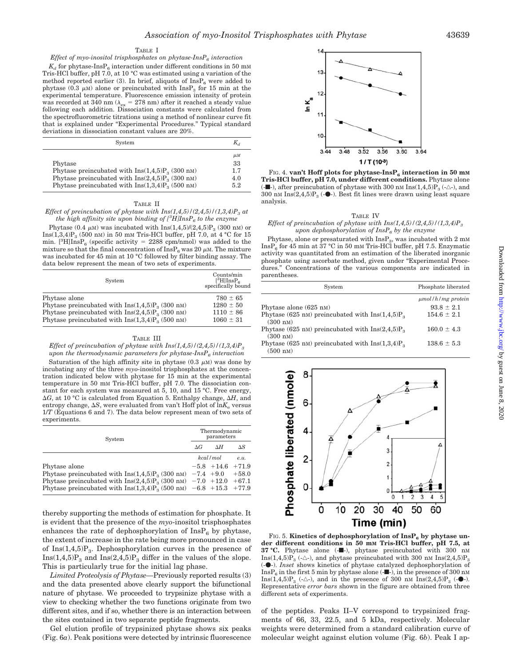#### TABLE I

*Effect of myo-inositol trisphosphates on phytase-InsP<sub>6</sub> interaction* 

 $K_d$  for phytase-InsP<sub>6</sub> interaction under different conditions in 50 mM Tris-HCl buffer, pH 7.0, at 10 °C was estimated using a variation of the method reported earlier (3). In brief, aliquots of  $InsP<sub>6</sub>$  were added to phytase (0.3  $\mu$ M) alone or preincubated with InsP<sub>3</sub> for 15 min at the experimental temperature. Fluorescence emission intensity of protein was recorded at 340 nm ( $\lambda_{\rm ex}$  = 278 nm) after it reached a steady value following each addition. Dissociation constants were calculated from the spectrofluorometric titrations using a method of nonlinear curve fit that is explained under "Experimental Procedures." Typical standard deviations in dissociation constant values are 20%.

| System                                                                                                                                                                                      | $K_d$                              |
|---------------------------------------------------------------------------------------------------------------------------------------------------------------------------------------------|------------------------------------|
| Phytase<br>Phytase preincubated with $\text{Ins}(1,4,5)P_{3}$ (300 nm)<br>Phytase preincubated with $\text{Ins}(2,4,5)P_{3}$ (300 nm)<br>Phytase preincubated with $Ins(1,3,4)P_3$ (500 nm) | $\mu$ M<br>33<br>1.7<br>4.0<br>5.2 |

#### TABLE II

*Effect of preincubation of phytase with Ins(1,4,5)/(2,4,5)/(1,3,4)P<sub>3</sub> at the high affinity site upon binding of*  $[$ *<sup>3</sup>* $H$ *]Ins* $P_6$  *to the enzyme* 

Phytase (0.4  $\mu$ M) was incubated with Ins(1,4,5)/(2,4,5)P<sub>3</sub> (300 nM) or Ins(1,3,4) $P_3$  (500 nM) in 50 mM Tris-HCl buffer, pH 7.0, at 4 °C for 15 min.  $[{}^{3}H]$ Ins $P_6$  (specific activity = 2288 cpm/nmol) was added to the mixture so that the final concentration of  $\text{InsP}_6$  was 20  $\mu$ M. The mixture was incubated for 45 min at 10 °C followed by filter binding assay. The data below represent the mean of two sets of experiments.

| System                                                           | Counts/min<br>$[^3H]$ Ins $P_6$<br>specifically bound |
|------------------------------------------------------------------|-------------------------------------------------------|
| Phytase alone                                                    | $780 \pm 65$                                          |
| Phytase preincubated with $Ins(1,4,5)P_3$ (300 nm)               | $1280 \pm 50$                                         |
| Phytase preincubated with $\text{Ins}(2,4,5)P_{\alpha}$ (300 nm) | $1110 \pm 86$                                         |
| Phytase preincubated with $Ins(1,3,4)P_3$ (500 nm)               | $1060 \pm 31$                                         |

#### TABLE III

*Effect of preincubation of phytase with*  $Ins(1,4,5)/(2,4,5)/(1,3,4)P_3$ *upon the thermodynamic parameters for phytase-InsP<sub>6</sub> interaction* 

Saturation of the high affinity site in phytase  $(0.3 \mu M)$  was done by incubating any of the three *myo*-inositol trisphosphates at the concentration indicated below with phytase for 15 min at the experimental temperature in 50 mM Tris-HCl buffer, pH 7.0. The dissociation constant for each system was measured at 5, 10, and 15 °C. Free energy,  $\Delta G$ , at 10 °C is calculated from Equation 5. Enthalpy change,  $\Delta H$ , and entropy change,  $\Delta S$ , were evaluated from van't Hoff plot of  $\ln K_a$  versus 1/*T* (Equations 6 and 7). The data below represent mean of two sets of experiments.

| System                                                                                                                                                          | Thermodynamic<br>parameters |                    |            |
|-----------------------------------------------------------------------------------------------------------------------------------------------------------------|-----------------------------|--------------------|------------|
|                                                                                                                                                                 | $\Delta G$                  | ΛH                 | $\Delta S$ |
|                                                                                                                                                                 |                             | kcal/mol           | e.u.       |
| Phytase alone                                                                                                                                                   |                             | $-5.8$ +14.6 +71.9 |            |
| Phytase preincubated with $\text{Ins}(1,4,5)P_3$ (300 nm) $-7.4$ +9.0 +58.0                                                                                     |                             |                    |            |
| Phytase preincubated with $\text{Ins}(2,4,5)P_3(300 \text{ nm})$ -7.0 +12.0 +67.1<br>Phytase preincubated with $\text{Ins}(1,3,4)P_3$ (500 nm) -6.8 +15.3 +77.9 |                             |                    |            |

thereby supporting the methods of estimation for phosphate. It is evident that the presence of the *myo*-inositol trisphosphates enhances the rate of dephosphorylation of  $InsP<sub>6</sub>$  by phytase, the extent of increase in the rate being more pronounced in case of  $Ins(1,4,5)P_3$ . Dephosphorylation curves in the presence of  $Ins(1,4,5)P_3$  and  $Ins(2,4,5)P_3$  differ in the values of the slope. This is particularly true for the initial lag phase.

*Limited Proteolysis of Phytase—*Previously reported results (3) and the data presented above clearly support the bifunctional nature of phytase. We proceeded to trypsinize phytase with a view to checking whether the two functions originate from two different sites, and if so, whether there is an interaction between the sites contained in two separate peptide fragments.

Gel elution profile of trypsinized phytase shows six peaks (Fig. 6*a*). Peak positions were detected by intrinsic fluorescence



FIG. 4. **van't Hoff plots for phytase-InsP<sub>6</sub> interaction in 50 mm Tris-HCl buffer, pH 7.0, under different conditions.** Phytase alone (- $\blacksquare$ ), after preincubation of phytase with 300 nM Ins(1,4,5) $P_3$  (- $\triangle$ -), and  $300$  nM  $\text{Ins}(2,4,5) \text{P}_3$  (- $\bullet$ -). Best fit lines were drawn using least square analysis.

#### TABLE IV

#### *Effect of preincubation of phytase with Ins(1,4,5)/(2,4,5)/(1,3,4)P3 upon dephosphorylation of InsP6 by the enzyme*

Phytase, alone or presaturated with  $InsP_3$ , was incubated with 2 mM  $InsP<sub>6</sub>$  for 45 min at 37 °C in 50 mm Tris-HCl buffer, pH 7.5. Enzymatic activity was quantitated from an estimation of the liberated inorganic phosphate using ascorbate method, given under "Experimental Procedures." Concentrations of the various components are indicated in parentheses.

| System                                                                                   | Phosphate liberated    |
|------------------------------------------------------------------------------------------|------------------------|
|                                                                                          | $\mu$ mol/h/mg protein |
| Phytase alone (625 nM)                                                                   | $93.8 \pm 2.1$         |
| Phytase (625 nm) preincubated with $\text{Ins}(1,4,5)P_3$<br>$(300 \text{ nm})$          | $154.6 \pm 2.1$        |
| Phytase (625 nm) preincubated with $\text{Ins}(2,4,5)P_{\text{2}}$<br>$(300 \text{ nm})$ | $160.0 \pm 4.3$        |
| Phytase (625 nm) preincubated with $\text{Ins}(1,3,4)P_{\text{2}}$<br>$(500 \text{ nm})$ | $138.6 \pm 5.3$        |



FIG. 5. **Kinetics of dephosphorylation of InsP<sub>6</sub> by phytase under different conditions in 50 mM Tris-HCl buffer, pH 7.5, at** 37 °C. Phytase alone (- $\blacksquare$ -), phytase preincubated with 300 nm Ins(1,4,5) $P_3$  (- $\triangle$ -), and phytase preincubated with 300 nm Ins(2,4,5) $P_3$ (---). *Inset* shows kinetics of phytase catalyzed dephosphorylation of Ins $P_6$  in the first 5 min by phytase alone (- $\blacksquare$ ), in the presence of 300 nm Ins(1,4,5) $P_3$  (- $\triangle$ -), and in the presence of 300 nm Ins(2,4,5) $P_3$  (- $\bullet$ -). Representative *error bars* shown in the figure are obtained from three different sets of experiments.

of the peptides. Peaks II–V correspond to trypsinized fragments of 66, 33, 22.5, and 5 kDa, respectively. Molecular weights were determined from a standard calibration curve of molecular weight against elution volume (Fig. 6*b*). Peak I ap-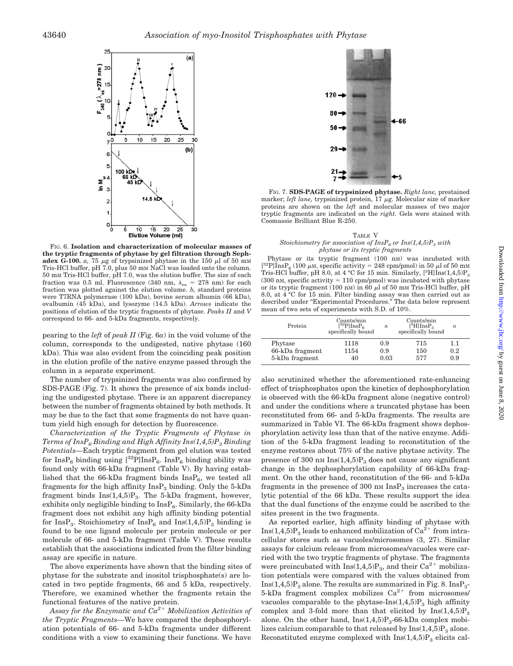

FIG. 6. **Isolation and characterization of molecular masses of the tryptic fragments of phytase by gel filtration through Sephadex G-100.** *a*, 75  $\mu$ g of trypsinized phytase in the 150  $\mu$ l of 50 mm Tris-HCl buffer, pH 7.0, plus 50 mM NaCl was loaded onto the column. 50 mM Tris-HCl buffer, pH 7.0, was the elution buffer. The size of each fraction was 0.5 ml. Fluorescence (340 nm,  $\lambda_{\text{ex}} = 278$  nm) for each fraction was plotted against the elution volume. *b,* standard proteins were T7RNA polymerase (100 kDa), bovine serum albumin (66 kDa), ovalbumin (45 kDa), and lysozyme (14.5 kDa). *Arrows* indicate the positions of elution of the tryptic fragments of phytase. *Peaks II* and *V* correspond to 66- and 5-kDa fragments, respectively.

pearing to the *left* of *peak II* (Fig. 6*a*) in the void volume of the column, corresponds to the undigested, native phytase (160 kDa). This was also evident from the coinciding peak position in the elution profile of the native enzyme passed through the column in a separate experiment.

The number of trypsinized fragments was also confirmed by SDS-PAGE (Fig. 7). It shows the presence of six bands including the undigested phytase. There is an apparent discrepancy between the number of fragments obtained by both methods. It may be due to the fact that some fragments do not have quantum yield high enough for detection by fluorescence.

*Characterization of the Tryptic Fragments of Phytase in Terms of InsP6 Binding and High Affinity Ins(1,4,5)P3 Binding Potentials—*Each tryptic fragment from gel elution was tested for InsP<sub>6</sub> binding using  $[^{32}P]$ InsP<sub>6</sub>. InsP<sub>6</sub> binding ability was found only with 66-kDa fragment (Table V). By having established that the 66-kDa fragment binds  $InsP_6$ , we tested all fragments for the high affinity  $InsP<sub>3</sub>$  binding. Only the 5-kDa fragment binds  $Ins(1,4,5)P_3$ . The 5-kDa fragment, however, exhibits only negligible binding to  $InsP_6$ . Similarly, the 66-kDa fragment does not exhibit any high affinity binding potential for InsP<sub>3</sub>. Stoichiometry of InsP<sub>6</sub> and Ins(1,4,5)P<sub>3</sub> binding is found to be one ligand molecule per protein molecule or per molecule of 66- and 5-kDa fragment (Table V). These results establish that the associations indicated from the filter binding assay are specific in nature.

The above experiments have shown that the binding sites of phytase for the substrate and inositol trisphosphate(s) are located in two peptide fragments, 66 and 5 kDa, respectively. Therefore, we examined whether the fragments retain the functional features of the native protein.

*Assay for the Enzymatic and Ca2 Mobilization Activities of the Tryptic Fragments—*We have compared the dephosphorylation potentials of 66- and 5-kDa fragments under different conditions with a view to examining their functions. We have



FIG. 7. **SDS-PAGE of trypsinized phytase.** *Right lane,* prestained marker; *left lane*, trypsinized protein,  $17 \mu g$ . Molecular size of marker proteins are shown on the *left* and molecular masses of two major tryptic fragments are indicated on the *right.* Gels were stained with Coomassie Brilliant Blue R-250.

#### TABLE V *Stoichiometry for association of InsP<sub>6</sub> or Ins(1,4,5)P<sub>3</sub> with phytase or its tryptic fragments*

Phytase or its tryptic fragment (100 nM) was incubated with [<sup>32</sup>P]InsP<sub>6</sub> (100  $\mu$ M, specific activity = 248 cpm/pmol) in 50  $\mu$ l of 50 mM Tris-HCl buffer, pH  $\rm \dot{8}.0,$  at 4 °C for 15 min. Similarly, [ $\rm ^3HJins(1,4,5)P_3$  $(300 \text{ nm}, \text{specific activity} = 110 \text{ rpm/pmol})$  was incubated with phytase or its tryptic fragment (100 nM) in 60  $\mu$ l of 50 mM Tris-HCl buffer, pH 8.0, at 4 °C for 15 min. Filter binding assay was then carried out as described under "Experimental Procedures." The data below represent mean of two sets of experiments with S.D. of 10%.

| Protein         | $\mathrm{Counts/min}$<br>$[{}^{32}P]$ Ins $P_6$<br>specifically bound | n    | Counts/min<br>$[^3H]$ Ins $P_3$<br>specifically bound | n   |
|-----------------|-----------------------------------------------------------------------|------|-------------------------------------------------------|-----|
| Phytase         | 1118                                                                  | 0.9  | 715                                                   | 1.1 |
| 66-kDa fragment | 1154                                                                  | 0.9  | 150                                                   | 0.2 |
| 5-kDa fragment  | 40                                                                    | 0.03 | 577                                                   | 0.9 |

also scrutinized whether the aforementioned rate-enhancing effect of trisphosphates upon the kinetics of dephosphorylation is observed with the 66-kDa fragment alone (negative control) and under the conditions where a truncated phytase has been reconstituted from 66- and 5-kDa fragments. The results are summarized in Table VI. The 66-kDa fragment shows dephosphorylation activity less than that of the native enzyme. Addition of the 5-kDa fragment leading to reconstitution of the enzyme restores about 75% of the native phytase activity. The presence of 300 nm  $Ins(1,4,5)P_3$  does not cause any significant change in the dephosphorylation capability of 66-kDa fragment. On the other hand, reconstitution of the 66- and 5-kDa fragments in the presence of 300 nm  $InsP<sub>3</sub>$  increases the catalytic potential of the 66 kDa. These results support the idea that the dual functions of the enzyme could be ascribed to the sites present in the two fragments.

As reported earlier, high affinity binding of phytase with  $Ins(1,4,5)P_3$  leads to enhanced mobilization of  $Ca^{2+}$  from intracellular stores such as vacuoles/microsomes (3, 27). Similar assays for calcium release from microsomes/vacuoles were carried with the two tryptic fragments of phytase. The fragments were preincubated with  $Ins(1,4,5)P_3$ , and their  $Ca^{2+}$  mobilization potentials were compared with the values obtained from  $Ins(1,4,5)P_3$  alone. The results are summarized in Fig. 8. Ins $P_3$ -5-kDa fragment complex mobilizes  $Ca^{2+}$  from microsomes/ vacuoles comparable to the phytase- $Ins(1,4,5)P_3$  high affinity complex and 3-fold more than that elicited by  $Ins(1,4,5)P_3$ alone. On the other hand,  $Ins(1,4,5)P_3-66-kDa$  complex mobilizes calcium comparable to that released by  $Ins(1,4,5)P_3$  alone. Reconstituted enzyme complexed with  $Ins(1,4,5)P_3$  elicits cal-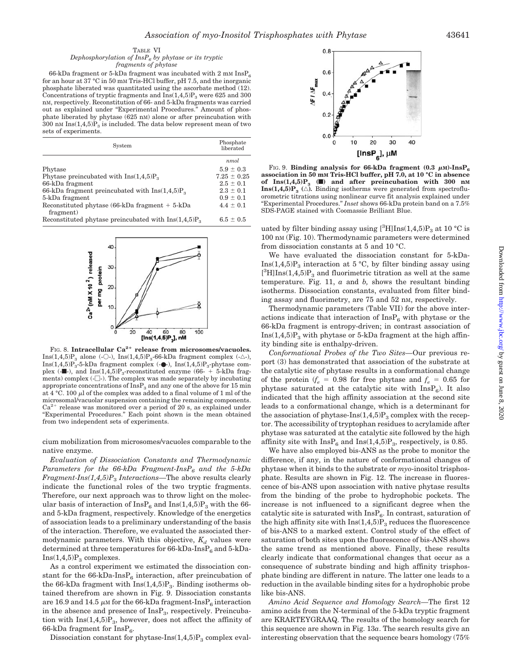#### TABLE VI *Dephosphorylation of InsP6 by phytase or its tryptic fragments of phytase*

66-kDa fragment or 5-kDa fragment was incubated with 2 mM  $\text{InsP}_6$ for an hour at 37 °C in 50 mM Tris-HCl buffer, pH 7.5, and the inorganic phosphate liberated was quantitated using the ascorbate method (12). Concentrations of tryptic fragments and  $\overline{Ins}(1,4,5)P_3$  were 625 and 300 nM, respectively. Reconstitution of 66- and 5-kDa fragments was carried out as explained under "Experimental Procedures." Amount of phosphate liberated by phytase (625 nM) alone or after preincubation with 300 nM  $Ins(1,4,5)P_3$  is included. The data below represent mean of two sets of experiments.

| System                                                          | Phosphate<br>liberated |
|-----------------------------------------------------------------|------------------------|
|                                                                 | nmol                   |
| Phytase                                                         | $5.9 \pm 0.3$          |
| Phytase preincubated with $Ins(1,4,5)Po$                        | $7.25 \pm 0.25$        |
| 66-kDa fragment                                                 | $2.5 \pm 0.1$          |
| 66-kDa fragment preincubated with $Ins(1,4,5)P_{\circ}$         | $2.3 \pm 0.1$          |
| 5-kDa fragment                                                  | $0.9 \pm 0.1$          |
| Reconstituted phytase $(66-kDa$ fragment $+ 5-kDa$<br>fragment) | $4.4 \pm 0.1$          |
| Reconstituted phytase preincubated with $Ins(1,4,5)P_3$         | $6.5 \pm 0.5$          |



FIG. 8. Intracellular Ca<sup>2+</sup> release from microsomes/vacuoles. Ins(1,4,5)P<sub>3</sub> alone (-O-), Ins(1,4,5)P<sub>3</sub>-66-kDa fragment complex (- $\triangle$ -),  $\mathbf{Ins}(1,4,5)\mathbf{P_3\text{-}5\text{-}kDa}$  fragment complex (- $\bullet$ ),  $\mathbf{Ins}(1,4,5)\mathbf{P_3\text{-}phytase}$  complex (- $\blacksquare$ -), and  $\mathrm{Ins}(1,4,5)P_3$ -reconstituted enzyme (66- + 5-kDa fragments) complex  $(-\Box)$ . The complex was made separately by incubating appropriate concentrations of  $InsP<sub>3</sub>$  and any one of the above for 15 min at  $4 \text{ °C}$ . 100  $\mu$ l of the complex was added to a final volume of 1 ml of the microsomal/vacuolar suspension containing the remaining components.  $Ca<sup>2+</sup>$  release was monitored over a period of 20 s, as explained under "Experimental Procedures." Each point shown is the mean obtained from two independent sets of experiments.

cium mobilization from microsomes/vacuoles comparable to the native enzyme.

*Evaluation of Dissociation Constants and Thermodynamic Parameters for the 66-kDa Fragment-InsP6 and the 5-kDa Fragment-Ins(1,4,5)P*<sup>3</sup> *Interactions*—The above results clearly indicate the functional roles of the two tryptic fragments. Therefore, our next approach was to throw light on the molecular basis of interaction of  $InsP_6$  and  $Ins(1,4,5)P_3$  with the 66and 5-kDa fragment, respectively. Knowledge of the energetics of association leads to a preliminary understanding of the basis of the interaction. Therefore, we evaluated the associated thermodynamic parameters. With this objective,  $K_d$  values were determined at three temperatures for  $66-kDa-InsP_6$  and  $5-kDa Ins(1,4,5)P_3$  complexes.

As a control experiment we estimated the dissociation constant for the  $66-\text{kDa-InsP}_6$  interaction, after preincubation of the 66-kDa fragment with  $Ins(1,4,5)P_3$ . Binding isotherms obtained therefrom are shown in Fig. 9. Dissociation constants are 16.9 and 14.5  $\mu$ M for the 66-kDa fragment-InsP<sub>6</sub> interaction in the absence and presence of  $InsP_3$ , respectively. Preincubation with  $Ins(1,4,5)P_3$ , however, does not affect the affinity of 66-kDa fragment for  $InsP_6$ .

Dissociation constant for phytase- $Ins(1,4,5)P_3$  complex eval-



FIG. 9. **Binding analysis for 66-kDa fragment (0.3**  $\mu$ **M)-InsP<sub>6</sub> association in 50 mM Tris-HCl buffer, pH 7.0, at 10 °C in absence** of  $\text{Ins}(1,4,5)P_3$  ( $\blacksquare$ ) and after preincubation with 300 nm **Ins(1,4,5)P<sub>3</sub>** ( $\triangle$ ). Binding isotherms were generated from spectrofluorometric titrations using nonlinear curve fit analysis explained under "Experimental Procedures." *Inset* shows 66-kDa protein band on a 7.5% SDS-PAGE stained with Coomassie Brilliant Blue.

uated by filter binding assay using  $[^{3}H]\text{Ins}(1,4,5)P_{3}$  at 10 °C is 100 nM (Fig. 10). Thermodynamic parameters were determined from dissociation constants at 5 and 10 °C.

We have evaluated the dissociation constant for 5-kDa-Ins $(1,4,5)P_3$  interaction at 5 °C, by filter binding assay using  $[^{3}H]$ Ins(1,4,5)P<sub>3</sub> and fluorimetric titration as well at the same temperature. Fig. 11, *a* and *b,* shows the resultant binding isotherms. Dissociation constants, evaluated from filter binding assay and fluorimetry, are 75 and 52 nM, respectively.

Thermodynamic parameters (Table VII) for the above interactions indicate that interaction of  $InsP<sub>6</sub>$  with phytase or the 66-kDa fragment is entropy-driven; in contrast association of  $Ins(1,4,5)P_3$  with phytase or 5-kDa fragment at the high affinity binding site is enthalpy-driven.

*Conformational Probes of the Two Sites—*Our previous report (3) has demonstrated that association of the substrate at the catalytic site of phytase results in a conformational change of the protein  $(f_e = 0.98)$  for free phytase and  $f_e = 0.65$  for phytase saturated at the catalytic site with  $InsP<sub>6</sub>$ ). It also indicated that the high affinity association at the second site leads to a conformational change, which is a determinant for the association of phytase- $Ins(1,4,5)P_3$  complex with the receptor. The accessibility of tryptophan residues to acrylamide after phytase was saturated at the catalytic site followed by the high affinity site with  $InsP_6$  and  $Ins(1,4,5)P_3$ , respectively, is 0.85.

We have also employed bis-ANS as the probe to monitor the difference, if any, in the nature of conformational changes of phytase when it binds to the substrate or *myo*-inositol trisphosphate. Results are shown in Fig. 12. The increase in fluorescence of bis-ANS upon association with native phytase results from the binding of the probe to hydrophobic pockets. The increase is not influenced to a significant degree when the catalytic site is saturated with  $InsP_6$ . In contrast, saturation of the high affinity site with  $Ins(1,4,5)P_3$  reduces the fluorescence of bis-ANS to a marked extent. Control study of the effect of saturation of both sites upon the fluorescence of bis-ANS shows the same trend as mentioned above. Finally, these results clearly indicate that conformational changes that occur as a consequence of substrate binding and high affinity trisphosphate binding are different in nature. The latter one leads to a reduction in the available binding sites for a hydrophobic probe like bis-ANS.

*Amino Acid Sequence and Homology Search—*The first 12 amino acids from the N-terminal of the 5-kDa tryptic fragment are KRARTEYGRAAQ. The results of the homology search for this sequence are shown in Fig. 13*a*. The search results give an interesting observation that the sequence bears homology (75%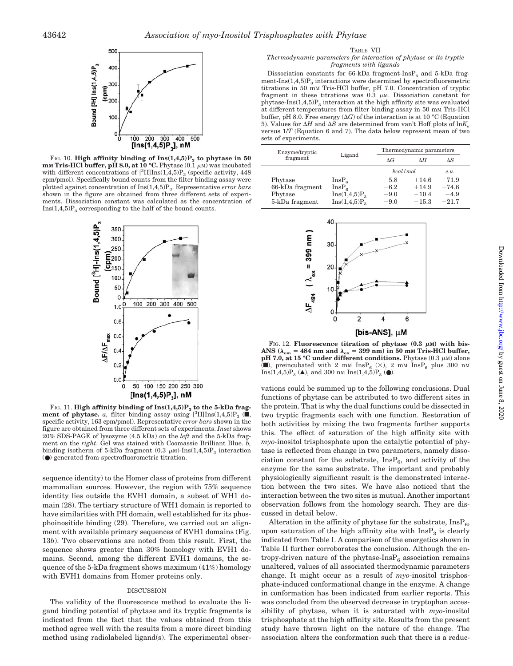

FIG. 10. **High affinity binding of**  $\text{Ins}(1,4,5)P_3$  **to phytase in 50 mM** Tris-HCl buffer, pH 8.0, at 10 °C. Phytase  $(0.1 \mu M)$  was incubated with different concentrations of  $[^{3}H]Ins(1,4,5)P_{3}$  (specific activity, 448) cpm/pmol). Specifically bound counts from the filter binding assay were plotted against concentration of Ins(1,4,5)P<sub>3</sub>. Representative *error bars* shown in the figure are obtained from three different sets of experiments. Dissociation constant was calculated as the concentration of  $Ins(1,4,5)P_3$  corresponding to the half of the bound counts.



FIG. 11. **High affinity binding of Ins(1,4,5)P<sub>3</sub>** to the 5-kDa frag**ment of phytase.** *a*, filter binding assay using  $[{}^3H] \text{Ins}(1,4,5)P_3$  ( $\blacksquare$ , specific activity, 163 cpm/pmol). Representative *error bars* shown in the figure are obtained from three different sets of experiments. *Inset* shows 20% SDS-PAGE of lysozyme (4.5 kDa) on the *left* and the 5-kDa fragment on the *right*. Gel was stained with Coomassie Brilliant Blue. *b,* binding isotherm of 5-kDa fragment (0.3  $\mu$ M)-Ins(1,4,5)P<sub>3</sub> interaction (●) generated from spectrofluorometric titration.

sequence identity) to the Homer class of proteins from different mammalian sources. However, the region with 75% sequence identity lies outside the EVH1 domain, a subset of WH1 domain (28). The tertiary structure of WH1 domain is reported to have similarities with PH domain, well established for its phosphoinositide binding (29). Therefore, we carried out an alignment with available primary sequences of EVH1 domains (Fig. 13*b*). Two observations are noted from this result. First, the sequence shows greater than 30% homology with EVH1 domains. Second, among the different EVH1 domains, the sequence of the 5-kDa fragment shows maximum (41%) homology with EVH1 domains from Homer proteins only.

### DISCUSSION

The validity of the fluorescence method to evaluate the ligand binding potential of phytase and its tryptic fragments is indicated from the fact that the values obtained from this method agree well with the results from a more direct binding method using radiolabeled ligand(s). The experimental obser-

#### TABLE VII

#### *Thermodynamic parameters for interaction of phytase or its tryptic fragments with ligands*

Dissociation constants for 66-kDa fragment-Ins $P_6$  and 5-kDa fragment-Ins $(1,4,5)P_3$  interactions were determined by spectrofluoremetric titrations in 50 mM Tris-HCl buffer, pH 7.0. Concentration of tryptic fragment in these titrations was  $0.\overline{3}$   $\mu$ M. Dissociation constant for phytase-Ins $(1,4,5)P_3$  interaction at the high affinity site was evaluated at different temperatures from filter binding assay in 50 mM Tris-HCl buffer, pH 8.0. Free energy  $(\Delta G)$  of the interaction is at 10 °C (Equation 5). Values for  $\Delta H$  and  $\Delta S$  are determined from van't Hoff plots of  $\ln K_a$ versus 1/*T* (Equation 6 and 7). The data below represent mean of two sets of experiments.

| Ligand            | Thermodynamic parameters |         |         |
|-------------------|--------------------------|---------|---------|
|                   | $\Delta G$               | ΛH      | ΔS      |
|                   | kcal/mol                 |         | P.1L.   |
| InsP <sub>6</sub> | $-5.8$                   | $+14.6$ | $+71.9$ |
| InsP <sub>c</sub> | $-6.2$                   | $+14.9$ | $+74.6$ |
| $Ins(1, 4, 5)P_3$ | $-9.0$                   | $-10.4$ | $-4.9$  |
| $Ins(1, 4, 5)P_3$ | $-9.0$                   | $-15.3$ | $-21.7$ |
|                   |                          |         |         |



FIG. 12. **Fluorescence titration of phytase**  $(0.3 \mu M)$  **with bis-** $\mathbf{ANS}$  ( $\lambda_{\text{em}} = 484 \text{ nm}$  and  $\lambda_{\text{ex}} = 399 \text{ nm}$ ) in  $50 \text{ mm}$  Tris-HCl buffer, **pH 7.0, at 15 °C under different conditions.** Phytase  $(0.3 \mu M)$  alone ( $\blacksquare$ ), preincubated with 2 mM InsP<sub>6</sub> ( $\times$ ), 2 mM InsP<sub>6</sub> plus 300 nM Ins(1,4,5) $P_3$  ( $\blacktriangle$ ), and 300 nM Ins(1,4,5) $P_3$  ( $\blacktriangleright$ ).

vations could be summed up to the following conclusions. Dual functions of phytase can be attributed to two different sites in the protein. That is why the dual functions could be dissected in two tryptic fragments each with one function. Restoration of both activities by mixing the two fragments further supports this. The effect of saturation of the high affinity site with *myo-*inositol trisphosphate upon the catalytic potential of phytase is reflected from change in two parameters, namely dissociation constant for the substrate,  $InsP_6$ , and activity of the enzyme for the same substrate. The important and probably physiologically significant result is the demonstrated interaction between the two sites. We have also noticed that the interaction between the two sites is mutual. Another important observation follows from the homology search. They are discussed in detail below.

Alteration in the affinity of phytase for the substrate,  $InsP<sub>6</sub>$ , upon saturation of the high affinity site with  $InsP<sub>3</sub>$  is clearly indicated from Table I. A comparison of the energetics shown in Table II further corroborates the conclusion. Although the entropy-driven nature of the phytase- $InsP_6$  association remains unaltered, values of all associated thermodynamic parameters change. It might occur as a result of *myo-*inositol trisphosphate-induced conformational change in the enzyme. A change in conformation has been indicated from earlier reports. This was concluded from the observed decrease in tryptophan accessibility of phytase, when it is saturated with *myo*-inositol trisphosphate at the high affinity site. Results from the present study have thrown light on the nature of the change. The association alters the conformation such that there is a reduc-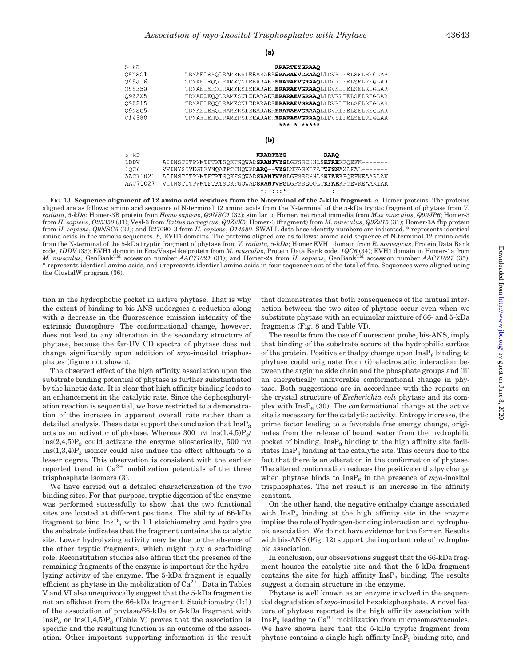

FIG. 13. **Sequence alignment of 12 amino acid residues from the N-terminal of the 5-kDa fragment.** *a,* Homer proteins. The proteins aligned are as follows: amino acid sequence of N-terminal 12 amino acids from the N-terminal of the 5-kDa tryptic fragment of phytase from *V. radiata*, *5-kDa*; Homer-3B protein from *Homo sapiens*, *Q9NSC1* (32); similar to Homer, neuronal immedia from *Mus musculus*, *Q99JP6*; Homer-3 from *H. sapiens*, *O95350* (31); Vesl-3 from *Rattus norvegicus*, *Q9Z2X5*; Homer-3 (fragment) from *M. musculus*, *Q9Z215* (31); Homer-3A flip protein from *H. sapiens*, *Q9NSC5* (32); and R27090\_3 from *H. sapiens*, *O14580*. SWALL data base identity numbers are indicated. \* represents identical amino acids in the various sequences. *b,* EVH1 domains. The proteins aligned are as follows: amino acid sequence of N-terminal 12 amino acids from the N-terminal of the 5-kDa tryptic fragment of phytase from *V. radiata, 5-kDa*; Homer EVH1 domain from *R. norvegicus*, Protein Data Bank code, *1DDV* (33); EVH1 domain in Ena/Vasp-like protein from *M. musculus*, Protein Data Bank code, *1QC6* (34); EVH1 domain in Homer-1a from *M. musculus*, GenBankTM accession number *AAC71021* (31); and Homer-2a from *H. sapiens*, GenBankTM accession number *AAC71027* (35). \* represents identical amino acids, and **:** represents identical amino acids in four sequences out of the total of five. Sequences were aligned using the ClustalW program (36).

tion in the hydrophobic pocket in native phytase. That is why the extent of binding to bis-ANS undergoes a reduction along with a decrease in the fluorescence emission intensity of the extrinsic fluorophore. The conformational change, however, does not lead to any alteration in the secondary structure of phytase, because the far-UV CD spectra of phytase does not change significantly upon addition of *myo*-inositol trisphosphates (figure not shown).

The observed effect of the high affinity association upon the substrate binding potential of phytase is further substantiated by the kinetic data. It is clear that high affinity binding leads to an enhancement in the catalytic rate. Since the dephosphorylation reaction is sequential, we have restricted to a demonstration of the increase in apparent overall rate rather than a detailed analysis. These data support the conclusion that  $InsP<sub>3</sub>$ acts as an activator of phytase. Whereas 300 nm  $\text{Ins}(1,4,5)P_3/$  $Ins(2,4,5)P_3$  could activate the enzyme allosterically, 500 nm  $Ins(1,3,4)P_3$  isomer could also induce the effect although to a lesser degree. This observation is consistent with the earlier reported trend in  $Ca^{2+}$  mobilization potentials of the three trisphosphate isomers (3).

We have carried out a detailed characterization of the two binding sites. For that purpose, tryptic digestion of the enzyme was performed successfully to show that the two functional sites are located at different positions. The ability of 66-kDa fragment to bind  $InsP<sub>6</sub>$  with 1:1 stoichiometry and hydrolyze the substrate indicates that the fragment contains the catalytic site. Lower hydrolyzing activity may be due to the absence of the other tryptic fragments, which might play a scaffolding role. Reconstitution studies also affirm that the presence of the remaining fragments of the enzyme is important for the hydrolyzing activity of the enzyme. The 5-kDa fragment is equally efficient as phytase in the mobilization of  $Ca^{2+}$ . Data in Tables V and VI also unequivocally suggest that the 5-kDa fragment is not an offshoot from the 66-kDa fragment. Stoichiometry (1:1) of the association of phytase/66-kDa or 5-kDa fragment with  $InsP_6$  or  $Ins(1,4,5)P_3$  (Table V) proves that the association is specific and the resulting function is an outcome of the association. Other important supporting information is the result that demonstrates that both consequences of the mutual interaction between the two sites of phytase occur even when we substitute phytase with an equimolar mixture of 66- and 5-kDa fragments (Fig. 8 and Table VI).

The results from the use of fluorescent probe, bis-ANS, imply that binding of the substrate occurs at the hydrophilic surface of the protein. Positive enthalpy change upon  $InsP<sub>6</sub>$  binding to phytase could originate from (i) electrostatic interaction between the arginine side chain and the phosphate groups and (ii) an energetically unfavorable conformational change in phytase. Both suggestions are in accordance with the reports on the crystal structure of *Escherichia coli* phytase and its complex with  $\text{InsP}_6$  (30). The conformational change at the active site is necessary for the catalytic activity. Entropy increase, the prime factor leading to a favorable free energy change, originates from the release of bound water from the hydrophilic pocket of binding.  $InsP<sub>3</sub>$  binding to the high affinity site facilitates  $InsP<sub>6</sub> binding at the catalytic site. This occurs due to the$ fact that there is an alteration in the conformation of phytase. The altered conformation reduces the positive enthalpy change when phytase binds to  $InsP_6$  in the presence of *myo*-inositol trisphosphates. The net result is an increase in the affinity constant.

On the other hand, the negative enthalpy change associated with  $InsP<sub>3</sub>$  binding at the high affinity site in the enzyme implies the role of hydrogen-bonding interaction and hydrophobic association. We do not have evidence for the former. Results with bis-ANS (Fig. 12) support the important role of hydrophobic association.

In conclusion, our observations suggest that the 66-kDa fragment houses the catalytic site and that the 5-kDa fragment contains the site for high affinity  $InsP<sub>3</sub>$  binding. The results suggest a domain structure in the enzyme.

Phytase is well known as an enzyme involved in the sequential degradation of *myo*-inositol hexakisphosphate. A novel feature of phytase reported is the high affinity association with  $InsP<sub>3</sub> leading to Ca<sup>2+</sup> mobilization from microsomes/vacuoles.$ We have shown here that the 5-kDa tryptic fragment from phytase contains a single high affinity  $\text{InsP}_3$ -binding site, and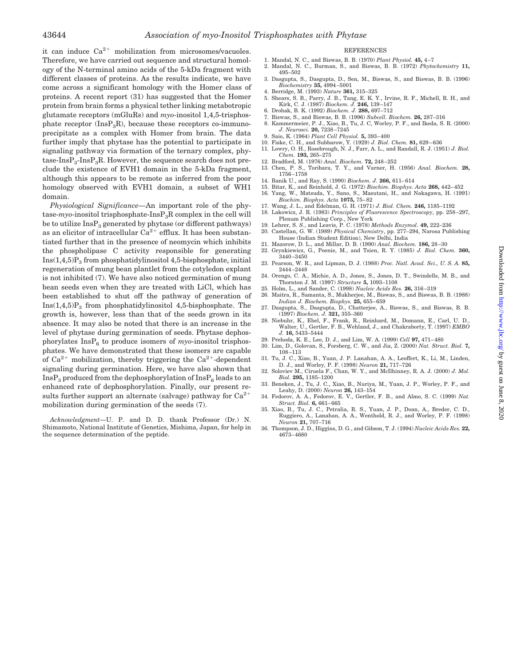it can induce  $Ca^{2+}$  mobilization from microsomes/vacuoles. Therefore, we have carried out sequence and structural homology of the N-terminal amino acids of the 5-kDa fragment with different classes of proteins. As the results indicate, we have come across a significant homology with the Homer class of proteins. A recent report (31) has suggested that the Homer protein from brain forms a physical tether linking metabotropic glutamate receptors (mGluRs) and *myo*-inositol 1,4,5-trisphosphate receptor  $(InsP_3R)$ , because these receptors co-immunoprecipitate as a complex with Homer from brain. The data further imply that phytase has the potential to participate in signaling pathway via formation of the ternary complex, phytase- $InsP<sub>3</sub>-InsP<sub>3</sub>R$ . However, the sequence search does not preclude the existence of EVH1 domain in the 5-kDa fragment, although this appears to be remote as inferred from the poor homology observed with EVH1 domain, a subset of WH1 domain.

*Physiological Significance—*An important role of the phytase-*myo*-inositol trisphosphate-InsP3R complex in the cell will be to utilize  $InsP_3$  generated by phytase (or different pathways) as an elicitor of intracellular  $Ca^{2+}$  efflux. It has been substantiated further that in the presence of neomycin which inhibits the phospholipase C activity responsible for generating  $Ins(1,4,5)P_3$  from phosphatidylinositol 4,5-bisphosphate, initial regeneration of mung bean plantlet from the cotyledon explant is not inhibited (7). We have also noticed germination of mung bean seeds even when they are treated with LiCl, which has been established to shut off the pathway of generation of  $Ins(1,4,5)P_3$  from phosphatidylinositol 4,5-bisphosphate. The growth is, however, less than that of the seeds grown in its absence. It may also be noted that there is an increase in the level of phytase during germination of seeds. Phytase dephosphorylates  $InsP_6$  to produce isomers of *myo*-inositol trisphosphates. We have demonstrated that these isomers are capable of  $Ca^{2+}$  mobilization, thereby triggering the  $Ca^{2+}$ -dependent signaling during germination. Here, we have also shown that  $InsP<sub>3</sub> produced from the dephosphorylation of InsP<sub>6</sub> leads to an$ enhanced rate of dephosphorylation. Finally, our present results further support an alternate (salvage) pathway for  $Ca^{2+}$ mobilization during germination of the seeds (7).

*Acknowledgment—*U. P. and D. D. thank Professor (Dr.) N. Shimamoto, National Institute of Genetics, Mishima, Japan, for help in the sequence determination of the peptide.

#### **REFERENCES**

- 1. Mandal, N. C., and Biswas, B. B. (1970) *Plant Physiol.* **45,** 4–7
- 2. Mandal, N. C., Burman, S., and Biswas, B. B. (1972) *Phytochemistry* **11,** 495–502
- 3. Dasgupta, S., Dasgupta, D., Sen, M., Biswas, S., and Biswas, B. B. (1996) *Biochemistry* **35,** 4994–5001 4. Berridge, M. (1993) *Nature* **361,** 315–325
- 5. Shears, S. B., Parry, J. B., Tang, E. K. Y., Irvine, R. F., Michell, R. H., and Kirk, C. J. (1987) *Biochem. J.* **246,** 139–147
- 6. Drobak, B. K. (1992) *Biochem. J.* **288,** 697–712
- 7. Biswas, S., and Biswas, B. B. (1996) *Subcell. Biochem.* **26,** 287–316
- 8. Kammermeier, P. J., Xiao, B., Tu, J. C, Worley, P. F., and Ikeda, S. R. (2000) *J. Neurosci.* **20,** 7238–7245
- 9. Saio, K. (1964) *Plant Cell Physiol.* **5,** 393–400 10. Fiske, C. H., and Subbarow, Y. (1929) *J. Biol. Chem.* **81,** 629–636
- 11. Lowry, O. H., Rosebrough, N. J., Farr, A. L., and Randall, R. J. (1951) *J. Biol. Chem.* **193,** 265–275
- 12. Bradford, M. (1976) *Anal. Biochem.* **72,** 248–252
- 13. Chen, P. S., Toribara, T. Y., and Varner, H. (1956) *Anal. Biochem.* **28,** 1756–1758
- 14. Banik U., and Ray, S. (1990) *Biochem. J.* **266,** 611–614
- 15. Bitar, K., and Reinhold, J. G. (1972) *Biochim. Biophys. Acta* **268,** 442–452
- 16. Yang, W., Matsuda, Y., Sano, S., Masutani, H., and Nakagawa, H. (1991) *Biochim. Biophys. Acta* **1075,** 75–82
- 17. Wang, J. L., and Edelman, G. H. (1971) *J. Biol. Chem.* **246,** 1185–1192
- 18. Lakowicz, J. R. (1983) *Principles of Fluorescence Spectroscopy*, pp. 258–297, Plenum Publishing Corp., New York 19. Lehrer, S. *S*., and Leavis, P. C. (1978) *Methods Enzymol.* **49,** 222–236
- 
- 20. Castellan, G. W. (1989) *Physical Chemistry*, pp. 277–294, Narosa Publishing House (Indian Student Edition), New Delhi, India
- 21. Mazorow, D. L., and Millar, D. B. (1990) *Anal. Biochem.* **186,** 28–30
- 22. Grynkiewicz, G., Poenie, M., and Tsien, R. Y. (1985) *J. Biol. Chem.* **360,**  $3440 - 3450$
- 23. Pearson, W. R., and Lipman, D. J. (1988) *Proc. Natl. Acad. Sci., U. S. A.* **85,** 2444–2448
- 24. Orengo, C. A., Michie, A. D., Jones, S., Jones, D. T., Swindells, M. B., and Thornton J. M. (1997) *Structure* **5,** 1093–1108
- 25. Holm, L., and Sander, C. (1998) *Nucleic Acids Res.* **26,** 316–319 26. Maitra, R., Samanta, S., Mukherjee, M., Biswas, S., and Biswas, B. B. (1988) *Indian J. Biochem. Biophys.* **25,** 655–659
- 27. Dasgupta, S., Dasgupta, D., Chatterjee, A., Biswas, S., and Biswas, B. B. (1997) *Biochem. J.* **321,** 355–360
- 28. Niebuhr, K., Ebel, F., Frank, R., Reinhard, M., Domann, E., Carl, U. D., Walter, U., Gertler, F. B., Wehland, J., and Chakraborty, T. (1997) *EMBO J.* **16,** 5433–5444
- 29. Prehoda, K. E., Lee, D. J., and Lim, W. A. (1999) *Cell* **97,** 471–480
- 30. Lim, D., Golovan, S., Forsberg, C. W., and Jia, Z. (2000) *Nat. Struct. Biol.* **7,** 108–113
- 31. Tu, J. C., Xiao, B., Yuan, J. P. Lanahan, A. A., Leoffert, K., Li, M., Linden,<br>D. J., and Worley, P. F. (1998) *Neuron* **21**, 717–726<br>32. Soloviev M., Ciruela F., Chan, W. Y., and McIlhinney, R. A. J. (2000) *J. Mol.*
- *Biol.* **295,** 1185–1200 33. Beneken, J., Tu, J. C., Xiao, B., Nuriya, M., Yuan, J. P., Worley, P. F., and
- Leahy, D. (2000) *Neuron* **26,** 143–154 34. Fedorov, A. A., Fedorov, E. V., Gertler, F. B., and Almo, S. C. (1999) *Nat.*
- *Struct. Biol.* **6,** 661–665 35. Xiao, B., Tu, J. C., Petralia, R. S., Yuan, J. P., Doan, A., Breder, C. D., Ruggiero, A., Lanahan, A. A., Wenthold, R. J., and Worley, P. F. (1998)
- *Neuron* **21,** 707–716 36. Thompson, J. D., Higgins, D. G., and Gibson, T. J. (1994) *Nucleic Acids Res.* **22,** 4673–4680